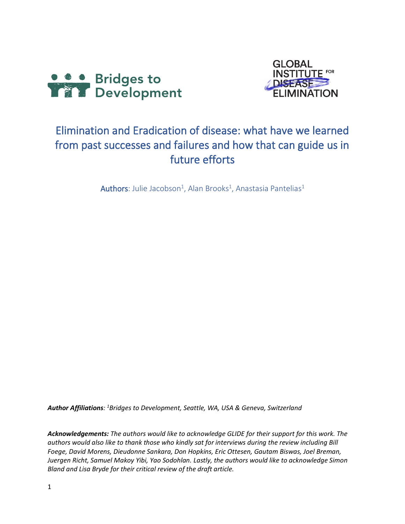



# Elimination and Eradication of disease: what have we learned from past successes and failures and how that can guide us in future efforts

 $\mathsf{Authors}\colon$  Julie Jacobson<sup>1</sup>, Alan Brooks<sup>1</sup>, Anastasia Pantelias<sup>1</sup>

*Author Affiliations: <sup>1</sup>Bridges to Development, Seattle, WA, USA & Geneva, Switzerland*

*Acknowledgements: The authors would like to acknowledge GLIDE for their support for this work. The authors would also like to thank those who kindly sat for interviews during the review including Bill Foege, David Morens, Dieudonne Sankara, Don Hopkins, Eric Ottesen, Gautam Biswas, Joel Breman, Juergen Richt, Samuel Makoy Yibi, Yao Sodohlan. Lastly, the authors would like to acknowledge Simon Bland and Lisa Bryde for their critical review of the draft article.*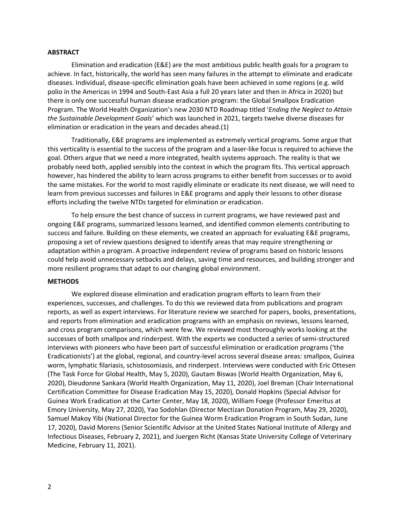### **ABSTRACT**

Elimination and eradication (E&E) are the most ambitious public health goals for a program to achieve. In fact, historically, the world has seen many failures in the attempt to eliminate and eradicate diseases. Individual, disease-specific elimination goals have been achieved in some regions (e.g. wild polio in the Americas in 1994 and South-East Asia a full 20 years later and then in Africa in 2020) but there is only one successful human disease eradication program: the Global Smallpox Eradication Program. The World Health Organization's new 2030 NTD Roadmap titled '*Ending the Neglect to Attain the Sustainable Development Goals*' which was launched in 2021, targets twelve diverse diseases for elimination or eradication in the years and decades ahead.(1)

Traditionally, E&E programs are implemented as extremely vertical programs. Some argue that this verticality is essential to the success of the program and a laser-like focus is required to achieve the goal. Others argue that we need a more integrated, health systems approach. The reality is that we probably need both, applied sensibly into the context in which the program fits. This vertical approach however, has hindered the ability to learn across programs to either benefit from successes or to avoid the same mistakes. For the world to most rapidly eliminate or eradicate its next disease, we will need to learn from previous successes and failures in E&E programs and apply their lessons to other disease efforts including the twelve NTDs targeted for elimination or eradication.

To help ensure the best chance of success in current programs, we have reviewed past and ongoing E&E programs, summarized lessons learned, and identified common elements contributing to success and failure. Building on these elements, we created an approach for evaluating E&E programs, proposing a set of review questions designed to identify areas that may require strengthening or adaptation within a program. A proactive independent review of programs based on historic lessons could help avoid unnecessary setbacks and delays, saving time and resources, and building stronger and more resilient programs that adapt to our changing global environment.

### **METHODS**

We explored disease elimination and eradication program efforts to learn from their experiences, successes, and challenges. To do this we reviewed data from publications and program reports, as well as expert interviews. For literature review we searched for papers, books, presentations, and reports from elimination and eradication programs with an emphasis on reviews, lessons learned, and cross program comparisons, which were few. We reviewed most thoroughly works looking at the successes of both smallpox and rinderpest. With the experts we conducted a series of semi-structured interviews with pioneers who have been part of successful elimination or eradication programs ('the Eradicationists') at the global, regional, and country-level across several disease areas: smallpox, Guinea worm, lymphatic filariasis, schistosomiasis, and rinderpest. Interviews were conducted with Eric Ottesen (The Task Force for Global Health, May 5, 2020), Gautam Biswas (World Health Organization, May 6, 2020), Dieudonne Sankara (World Health Organization, May 11, 2020), Joel Breman (Chair International Certification Committee for Disease Eradication May 15, 2020), Donald Hopkins (Special Advisor for Guinea Work Eradication at the Carter Center, May 18, 2020), William Foege (Professor Emeritus at Emory University, May 27, 2020), Yao Sodohlan (Director Mectizan Donation Program, May 29, 2020), Samuel Makoy Yibi (National Director for the Guinea Worm Eradication Program in South Sudan, June 17, 2020), David Morens (Senior Scientific Advisor at the United States National Institute of Allergy and Infectious Diseases, February 2, 2021), and Juergen Richt (Kansas State University College of Veterinary Medicine, February 11, 2021).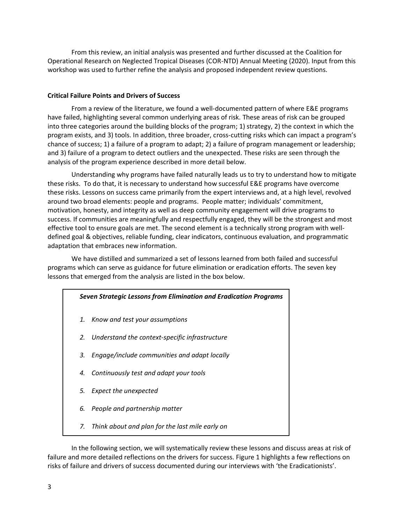From this review, an initial analysis was presented and further discussed at the Coalition for Operational Research on Neglected Tropical Diseases (COR-NTD) Annual Meeting (2020). Input from this workshop was used to further refine the analysis and proposed independent review questions.

# **Critical Failure Points and Drivers of Success**

From a review of the literature, we found a well-documented pattern of where E&E programs have failed, highlighting several common underlying areas of risk. These areas of risk can be grouped into three categories around the building blocks of the program; 1) strategy, 2) the context in which the program exists, and 3) tools. In addition, three broader, cross-cutting risks which can impact a program's chance of success; 1) a failure of a program to adapt; 2) a failure of program management or leadership; and 3) failure of a program to detect outliers and the unexpected. These risks are seen through the analysis of the program experience described in more detail below.

Understanding why programs have failed naturally leads us to try to understand how to mitigate these risks. To do that, it is necessary to understand how successful E&E programs have overcome these risks. Lessons on success came primarily from the expert interviews and, at a high level, revolved around two broad elements: people and programs. People matter; individuals' commitment, motivation, honesty, and integrity as well as deep community engagement will drive programs to success. If communities are meaningfully and respectfully engaged, they will be the strongest and most effective tool to ensure goals are met. The second element is a technically strong program with welldefined goal & objectives, reliable funding, clear indicators, continuous evaluation, and programmatic adaptation that embraces new information.

We have distilled and summarized a set of lessons learned from both failed and successful programs which can serve as guidance for future elimination or eradication efforts. The seven key lessons that emerged from the analysis are listed in the box below.

| Seven Strategic Lessons from Elimination and Eradication Programs |                                                   |
|-------------------------------------------------------------------|---------------------------------------------------|
|                                                                   | 1. Know and test your assumptions                 |
|                                                                   | 2. Understand the context-specific infrastructure |
| 3.                                                                | Engage/include communities and adapt locally      |
| 4.                                                                | Continuously test and adapt your tools            |
|                                                                   | 5. Expect the unexpected                          |
| 6.                                                                | People and partnership matter                     |
| 7.                                                                | Think about and plan for the last mile early on   |

In the following section, we will systematically review these lessons and discuss areas at risk of failure and more detailed reflections on the drivers for success. Figure 1 highlights a few reflections on risks of failure and drivers of success documented during our interviews with 'the Eradicationists'.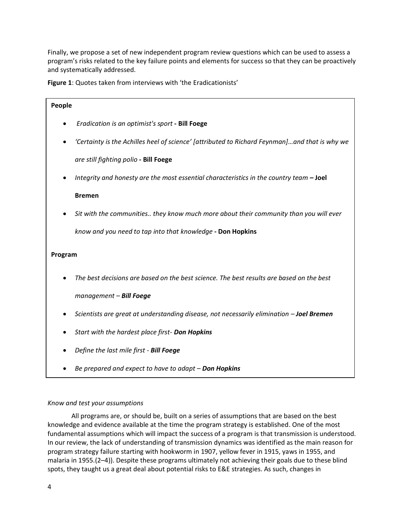Finally, we propose a set of new independent program review questions which can be used to assess a program's risks related to the key failure points and elements for success so that they can be proactively and systematically addressed.

**Figure 1**: Quotes taken from interviews with 'the Eradicationists'

| People  |                                                                                               |
|---------|-----------------------------------------------------------------------------------------------|
|         | Eradication is an optimist's sport - Bill Foege                                               |
|         | 'Certainty is the Achilles heel of science' [attributed to Richard Feynman]and that is why we |
|         | are still fighting polio - Bill Foege                                                         |
|         | Integrity and honesty are the most essential characteristics in the country team $-$ Joel     |
|         | <b>Bremen</b>                                                                                 |
|         | Sit with the communities they know much more about their community than you will ever         |
|         | know and you need to tap into that knowledge - Don Hopkins                                    |
| Program |                                                                                               |
|         | The best decisions are based on the best science. The best results are based on the best      |
|         | management - Bill Foege                                                                       |
|         | Scientists are great at understanding disease, not necessarily elimination - Joel Bremen      |
|         | Start with the hardest place first- Don Hopkins                                               |
|         | Define the last mile first - Bill Foege                                                       |

• *Be prepared and expect to have to adapt – Don Hopkins*

# *Know and test your assumptions*

All programs are, or should be, built on a series of assumptions that are based on the best knowledge and evidence available at the time the program strategy is established. One of the most fundamental assumptions which will impact the success of a program is that transmission is understood. In our review, the lack of understanding of transmission dynamics was identified as the main reason for program strategy failure starting with hookworm in 1907, yellow fever in 1915, yaws in 1955, and malaria in 1955.(2–4)). Despite these programs ultimately not achieving their goals due to these blind spots, they taught us a great deal about potential risks to E&E strategies. As such, changes in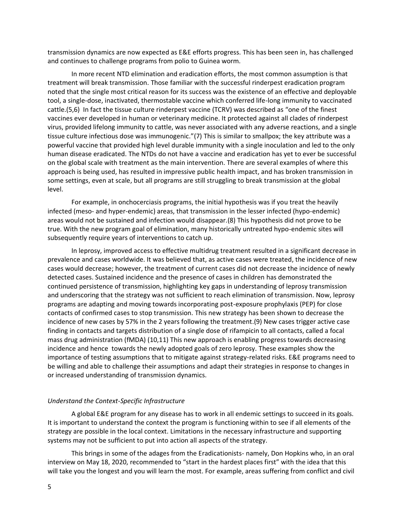transmission dynamics are now expected as E&E efforts progress. This has been seen in, has challenged and continues to challenge programs from polio to Guinea worm.

In more recent NTD elimination and eradication efforts, the most common assumption is that treatment will break transmission. Those familiar with the successful rinderpest eradication program noted that the single most critical reason for its success was the existence of an effective and deployable tool, a single-dose, inactivated, thermostable vaccine which conferred life-long immunity to vaccinated cattle.(5,6) In fact the tissue culture rinderpest vaccine (TCRV) was described as "one of the finest vaccines ever developed in human or veterinary medicine. It protected against all clades of rinderpest virus, provided lifelong immunity to cattle, was never associated with any adverse reactions, and a single tissue culture infectious dose was immunogenic."(7) This is similar to smallpox; the key attribute was a powerful vaccine that provided high level durable immunity with a single inoculation and led to the only human disease eradicated. The NTDs do not have a vaccine and eradication has yet to ever be successful on the global scale with treatment as the main intervention. There are several examples of where this approach is being used, has resulted in impressive public health impact, and has broken transmission in some settings, even at scale, but all programs are still struggling to break transmission at the global level.

For example, in onchocerciasis programs, the initial hypothesis was if you treat the heavily infected (meso- and hyper-endemic) areas, that transmission in the lesser infected (hypo-endemic) areas would not be sustained and infection would disappear.(8) This hypothesis did not prove to be true. With the new program goal of elimination, many historically untreated hypo-endemic sites will subsequently require years of interventions to catch up.

In leprosy, improved access to effective multidrug treatment resulted in a significant decrease in prevalence and cases worldwide. It was believed that, as active cases were treated, the incidence of new cases would decrease; however, the treatment of current cases did not decrease the incidence of newly detected cases. Sustained incidence and the presence of cases in children has demonstrated the continued persistence of transmission, highlighting key gaps in understanding of leprosy transmission and underscoring that the strategy was not sufficient to reach elimination of transmission. Now, leprosy programs are adapting and moving towards incorporating post-exposure prophylaxis (PEP) for close contacts of confirmed cases to stop transmission. This new strategy has been shown to decrease the incidence of new cases by 57% in the 2 years following the treatment.(9) New cases trigger active case finding in contacts and targets distribution of a single dose of rifampicin to all contacts, called a focal mass drug administration (fMDA) (10,11) This new approach is enabling progress towards decreasing incidence and hence towards the newly adopted goals of zero leprosy. These examples show the importance of testing assumptions that to mitigate against strategy-related risks. E&E programs need to be willing and able to challenge their assumptions and adapt their strategies in response to changes in or increased understanding of transmission dynamics.

### *Understand the Context-Specific Infrastructure*

A global E&E program for any disease has to work in all endemic settings to succeed in its goals. It is important to understand the context the program is functioning within to see if all elements of the strategy are possible in the local context. Limitations in the necessary infrastructure and supporting systems may not be sufficient to put into action all aspects of the strategy.

This brings in some of the adages from the Eradicationists- namely, Don Hopkins who, in an oral interview on May 18, 2020, recommended to "start in the hardest places first" with the idea that this will take you the longest and you will learn the most. For example, areas suffering from conflict and civil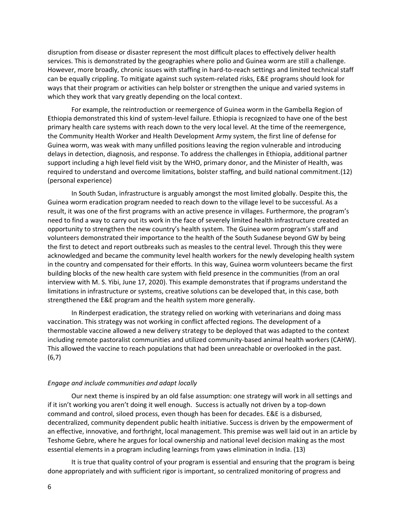disruption from disease or disaster represent the most difficult places to effectively deliver health services. This is demonstrated by the geographies where polio and Guinea worm are still a challenge. However, more broadly, chronic issues with staffing in hard-to-reach settings and limited technical staff can be equally crippling. To mitigate against such system-related risks, E&E programs should look for ways that their program or activities can help bolster or strengthen the unique and varied systems in which they work that vary greatly depending on the local context.

For example, the reintroduction or reemergence of Guinea worm in the Gambella Region of Ethiopia demonstrated this kind of system-level failure. Ethiopia is recognized to have one of the best primary health care systems with reach down to the very local level. At the time of the reemergence, the Community Health Worker and Health Development Army system, the first line of defense for Guinea worm, was weak with many unfilled positions leaving the region vulnerable and introducing delays in detection, diagnosis, and response. To address the challenges in Ethiopia, additional partner support including a high level field visit by the WHO, primary donor, and the Minister of Health, was required to understand and overcome limitations, bolster staffing, and build national commitment.(12) (personal experience)

In South Sudan, infrastructure is arguably amongst the most limited globally. Despite this, the Guinea worm eradication program needed to reach down to the village level to be successful. As a result, it was one of the first programs with an active presence in villages. Furthermore, the program's need to find a way to carry out its work in the face of severely limited health infrastructure created an opportunity to strengthen the new country's health system. The Guinea worm program's staff and volunteers demonstrated their importance to the health of the South Sudanese beyond GW by being the first to detect and report outbreaks such as measles to the central level. Through this they were acknowledged and became the community level health workers for the newly developing health system in the country and compensated for their efforts. In this way, Guinea worm volunteers became the first building blocks of the new health care system with field presence in the communities (from an oral interview with M. S. Yibi, June 17, 2020). This example demonstrates that if programs understand the limitations in infrastructure or systems, creative solutions can be developed that, in this case, both strengthened the E&E program and the health system more generally.

In Rinderpest eradication, the strategy relied on working with veterinarians and doing mass vaccination. This strategy was not working in conflict affected regions. The development of a thermostable vaccine allowed a new delivery strategy to be deployed that was adapted to the context including remote pastoralist communities and utilized community-based animal health workers (CAHW). This allowed the vaccine to reach populations that had been unreachable or overlooked in the past. (6,7)

# *Engage and include communities and adapt locally*

Our next theme is inspired by an old false assumption: one strategy will work in all settings and if it isn't working you aren't doing it well enough. Success is actually not driven by a top-down command and control, siloed process, even though has been for decades. E&E is a disbursed, decentralized, community dependent public health initiative. Success is driven by the empowerment of an effective, innovative, and forthright, local management. This premise was well laid out in an article by Teshome Gebre, where he argues for local ownership and national level decision making as the most essential elements in a program including learnings from yaws elimination in India. (13)

It is true that quality control of your program is essential and ensuring that the program is being done appropriately and with sufficient rigor is important, so centralized monitoring of progress and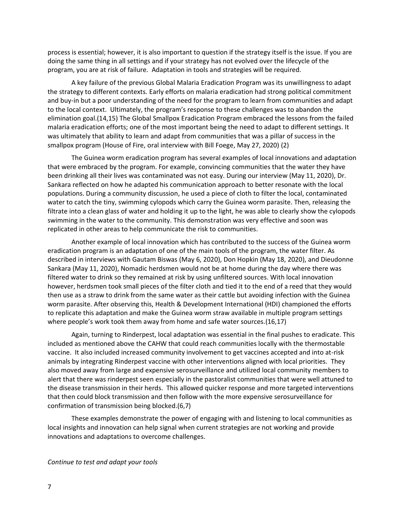process is essential; however, it is also important to question if the strategy itself is the issue. If you are doing the same thing in all settings and if your strategy has not evolved over the lifecycle of the program, you are at risk of failure. Adaptation in tools and strategies will be required.

A key failure of the previous Global Malaria Eradication Program was its unwillingness to adapt the strategy to different contexts. Early efforts on malaria eradication had strong political commitment and buy-in but a poor understanding of the need for the program to learn from communities and adapt to the local context. Ultimately, the program's response to these challenges was to abandon the elimination goal.(14,15) The Global Smallpox Eradication Program embraced the lessons from the failed malaria eradication efforts; one of the most important being the need to adapt to different settings. It was ultimately that ability to learn and adapt from communities that was a pillar of success in the smallpox program (House of Fire, oral interview with Bill Foege, May 27, 2020) (2)

The Guinea worm eradication program has several examples of local innovations and adaptation that were embraced by the program. For example, convincing communities that the water they have been drinking all their lives was contaminated was not easy. During our interview (May 11, 2020), Dr. Sankara reflected on how he adapted his communication approach to better resonate with the local populations. During a community discussion, he used a piece of cloth to filter the local, contaminated water to catch the tiny, swimming cylopods which carry the Guinea worm parasite. Then, releasing the filtrate into a clean glass of water and holding it up to the light, he was able to clearly show the cylopods swimming in the water to the community. This demonstration was very effective and soon was replicated in other areas to help communicate the risk to communities.

Another example of local innovation which has contributed to the success of the Guinea worm eradication program is an adaptation of one of the main tools of the program, the water filter. As described in interviews with Gautam Biswas (May 6, 2020), Don Hopkin (May 18, 2020), and Dieudonne Sankara (May 11, 2020), Nomadic herdsmen would not be at home during the day where there was filtered water to drink so they remained at risk by using unfiltered sources. With local innovation however, herdsmen took small pieces of the filter cloth and tied it to the end of a reed that they would then use as a straw to drink from the same water as their cattle but avoiding infection with the Guinea worm parasite. After observing this, Health & Development International (HDI) championed the efforts to replicate this adaptation and make the Guinea worm straw available in multiple program settings where people's work took them away from home and safe water sources.(16,17)

Again, turning to Rinderpest, local adaptation was essential in the final pushes to eradicate. This included as mentioned above the CAHW that could reach communities locally with the thermostable vaccine. It also included increased community involvement to get vaccines accepted and into at-risk animals by integrating Rinderpest vaccine with other interventions aligned with local priorities. They also moved away from large and expensive serosurveillance and utilized local community members to alert that there was rinderpest seen especially in the pastoralist communities that were well attuned to the disease transmission in their herds. This allowed quicker response and more targeted interventions that then could block transmission and then follow with the more expensive serosurveillance for confirmation of transmission being blocked.(6,7)

These examples demonstrate the power of engaging with and listening to local communities as local insights and innovation can help signal when current strategies are not working and provide innovations and adaptations to overcome challenges.

*Continue to test and adapt your tools*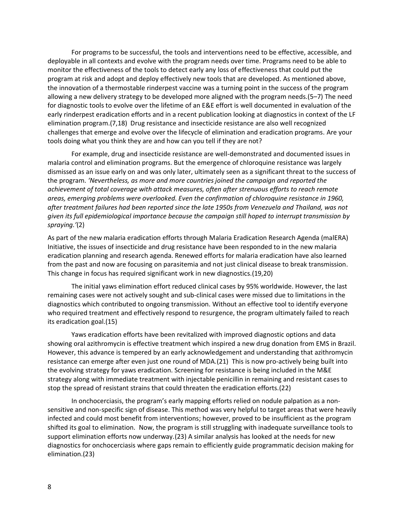For programs to be successful, the tools and interventions need to be effective, accessible, and deployable in all contexts and evolve with the program needs over time. Programs need to be able to monitor the effectiveness of the tools to detect early any loss of effectiveness that could put the program at risk and adopt and deploy effectively new tools that are developed. As mentioned above, the innovation of a thermostable rinderpest vaccine was a turning point in the success of the program allowing a new delivery strategy to be developed more aligned with the program needs.(5–7) The need for diagnostic tools to evolve over the lifetime of an E&E effort is well documented in evaluation of the early rinderpest eradication efforts and in a recent publication looking at diagnostics in context of the LF elimination program.(7,18) Drug resistance and insecticide resistance are also well recognized challenges that emerge and evolve over the lifecycle of elimination and eradication programs. Are your tools doing what you think they are and how can you tell if they are not?

For example, drug and insecticide resistance are well-demonstrated and documented issues in malaria control and elimination programs. But the emergence of chloroquine resistance was largely dismissed as an issue early on and was only later, ultimately seen as a significant threat to the success of the program. *'Nevertheless, as more and more countries joined the campaign and reported the achievement of total coverage with attack measures, often after strenuous efforts to reach remote areas, emerging problems were overlooked. Even the confirmation of chloroquine resistance in 1960, after treatment failures had been reported since the late 1950s from Venezuela and Thailand, was not given its full epidemiological importance because the campaign still hoped to interrupt transmission by spraying.'*(2)

As part of the new malaria eradication efforts through Malaria Eradication Research Agenda (malERA) Initiative, the issues of insecticide and drug resistance have been responded to in the new malaria eradication planning and research agenda. Renewed efforts for malaria eradication have also learned from the past and now are focusing on parasitemia and not just clinical disease to break transmission. This change in focus has required significant work in new diagnostics.(19,20)

The initial yaws elimination effort reduced clinical cases by 95% worldwide. However, the last remaining cases were not actively sought and sub-clinical cases were missed due to limitations in the diagnostics which contributed to ongoing transmission. Without an effective tool to identify everyone who required treatment and effectively respond to resurgence, the program ultimately failed to reach its eradication goal.(15)

Yaws eradication efforts have been revitalized with improved diagnostic options and data showing oral azithromycin is effective treatment which inspired a new drug donation from EMS in Brazil. However, this advance is tempered by an early acknowledgement and understanding that azithromycin resistance can emerge after even just one round of MDA.(21) This is now pro-actively being built into the evolving strategy for yaws eradication. Screening for resistance is being included in the M&E strategy along with immediate treatment with injectable penicillin in remaining and resistant cases to stop the spread of resistant strains that could threaten the eradication efforts.(22)

In onchocerciasis, the program's early mapping efforts relied on nodule palpation as a nonsensitive and non-specific sign of disease. This method was very helpful to target areas that were heavily infected and could most benefit from interventions; however, proved to be insufficient as the program shifted its goal to elimination. Now, the program is still struggling with inadequate surveillance tools to support elimination efforts now underway.(23) A similar analysis has looked at the needs for new diagnostics for onchocerciasis where gaps remain to efficiently guide programmatic decision making for elimination.(23)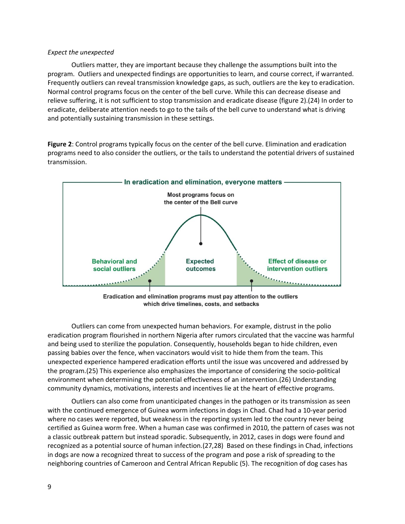# *Expect the unexpected*

Outliers matter, they are important because they challenge the assumptions built into the program. Outliers and unexpected findings are opportunities to learn, and course correct, if warranted. Frequently outliers can reveal transmission knowledge gaps, as such, outliers are the key to eradication. Normal control programs focus on the center of the bell curve. While this can decrease disease and relieve suffering, it is not sufficient to stop transmission and eradicate disease (figure 2).(24) In order to eradicate, deliberate attention needs to go to the tails of the bell curve to understand what is driving and potentially sustaining transmission in these settings.

**Figure 2**: Control programs typically focus on the center of the bell curve. Elimination and eradication programs need to also consider the outliers, or the tails to understand the potential drivers of sustained transmission.



Eradication and elimination programs must pay attention to the outliers which drive timelines, costs, and setbacks

Outliers can come from unexpected human behaviors. For example, distrust in the polio eradication program flourished in northern Nigeria after rumors circulated that the vaccine was harmful and being used to sterilize the population. Consequently, households began to hide children, even passing babies over the fence, when vaccinators would visit to hide them from the team. This unexpected experience hampered eradication efforts until the issue was uncovered and addressed by the program.(25) This experience also emphasizes the importance of considering the socio-political environment when determining the potential effectiveness of an intervention.(26) Understanding community dynamics, motivations, interests and incentives lie at the heart of effective programs.

Outliers can also come from unanticipated changes in the pathogen or its transmission as seen with the continued emergence of Guinea worm infections in dogs in Chad. Chad had a 10-year period where no cases were reported, but weakness in the reporting system led to the country never being certified as Guinea worm free. When a human case was confirmed in 2010, the pattern of cases was not a classic outbreak pattern but instead sporadic. Subsequently, in 2012, cases in dogs were found and recognized as a potential source of human infection.(27,28) Based on these findings in Chad, infections in dogs are now a recognized threat to success of the program and pose a risk of spreading to the neighboring countries of Cameroon and Central African Republic (5). The recognition of dog cases has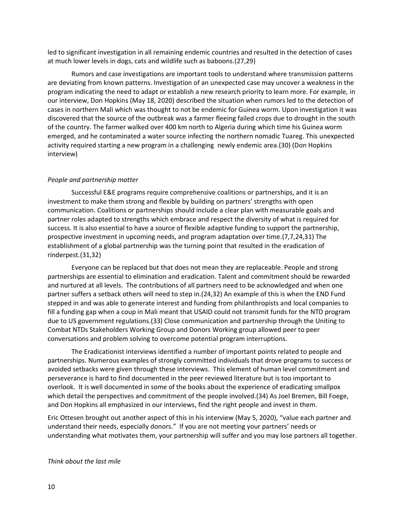led to significant investigation in all remaining endemic countries and resulted in the detection of cases at much lower levels in dogs, cats and wildlife such as baboons.(27,29)

Rumors and case investigations are important tools to understand where transmission patterns are deviating from known patterns. Investigation of an unexpected case may uncover a weakness in the program indicating the need to adapt or establish a new research priority to learn more. For example, in our interview, Don Hopkins (May 18, 2020) described the situation when rumors led to the detection of cases in northern Mali which was thought to not be endemic for Guinea worm. Upon investigation it was discovered that the source of the outbreak was a farmer fleeing failed crops due to drought in the south of the country. The farmer walked over 400 km north to Algeria during which time his Guinea worm emerged, and he contaminated a water source infecting the northern nomadic Tuareg. This unexpected activity required starting a new program in a challenging newly endemic area.(30) (Don Hopkins interview)

# *People and partnership matter*

Successful E&E programs require comprehensive coalitions or partnerships, and it is an investment to make them strong and flexible by building on partners' strengths with open communication. Coalitions or partnerships should include a clear plan with measurable goals and partner roles adapted to strengths which embrace and respect the diversity of what is required for success. It is also essential to have a source of flexible adaptive funding to support the partnership, prospective investment in upcoming needs, and program adaptation over time.(7,7,24,31) The establishment of a global partnership was the turning point that resulted in the eradication of rinderpest.(31,32)

Everyone can be replaced but that does not mean they are replaceable. People and strong partnerships are essential to elimination and eradication. Talent and commitment should be rewarded and nurtured at all levels. The contributions of all partners need to be acknowledged and when one partner suffers a setback others will need to step in.(24,32) An example of this is when the END Fund stepped in and was able to generate interest and funding from philanthropists and local companies to fill a funding gap when a coup in Mali meant that USAID could not transmit funds for the NTD program due to US government regulations.(33) Close communication and partnership through the Uniting to Combat NTDs Stakeholders Working Group and Donors Working group allowed peer to peer conversations and problem solving to overcome potential program interruptions.

The Eradicationist interviews identified a number of important points related to people and partnerships. Numerous examples of strongly committed individuals that drove programs to success or avoided setbacks were given through these interviews. This element of human level commitment and perseverance is hard to find documented in the peer reviewed literature but is too important to overlook. It is well documented in some of the books about the experience of eradicating smallpox which detail the perspectives and commitment of the people involved.(34) As Joel Bremen, Bill Foege, and Don Hopkins all emphasized in our interviews, find the right people and invest in them.

Eric Ottesen brought out another aspect of this in his interview (May 5, 2020), "value each partner and understand their needs, especially donors." If you are not meeting your partners' needs or understanding what motivates them, your partnership will suffer and you may lose partners all together.

### *Think about the last mile*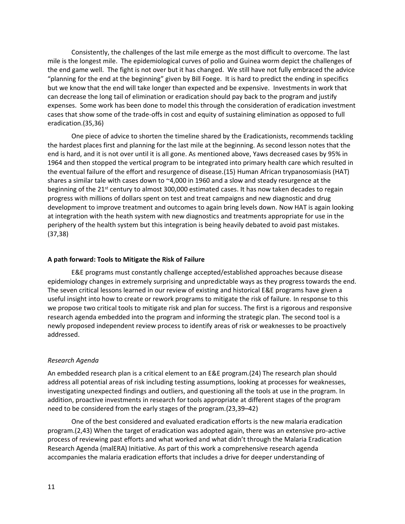Consistently, the challenges of the last mile emerge as the most difficult to overcome. The last mile is the longest mile. The epidemiological curves of polio and Guinea worm depict the challenges of the end game well. The fight is not over but it has changed. We still have not fully embraced the advice "planning for the end at the beginning" given by Bill Foege. It is hard to predict the ending in specifics but we know that the end will take longer than expected and be expensive. Investments in work that can decrease the long tail of elimination or eradication should pay back to the program and justify expenses. Some work has been done to model this through the consideration of eradication investment cases that show some of the trade-offs in cost and equity of sustaining elimination as opposed to full eradication.(35,36)

One piece of advice to shorten the timeline shared by the Eradicationists, recommends tackling the hardest places first and planning for the last mile at the beginning. As second lesson notes that the end is hard, and it is not over until it is all gone. As mentioned above, Yaws decreased cases by 95% in 1964 and then stopped the vertical program to be integrated into primary health care which resulted in the eventual failure of the effort and resurgence of disease.(15) Human African trypanosomiasis (HAT) shares a similar tale with cases down to  $\approx$ 4,000 in 1960 and a slow and steady resurgence at the beginning of the 21<sup>st</sup> century to almost 300,000 estimated cases. It has now taken decades to regain progress with millions of dollars spent on test and treat campaigns and new diagnostic and drug development to improve treatment and outcomes to again bring levels down. Now HAT is again looking at integration with the heath system with new diagnostics and treatments appropriate for use in the periphery of the health system but this integration is being heavily debated to avoid past mistakes. (37,38)

### **A path forward: Tools to Mitigate the Risk of Failure**

E&E programs must constantly challenge accepted/established approaches because disease epidemiology changes in extremely surprising and unpredictable ways as they progress towards the end. The seven critical lessons learned in our review of existing and historical E&E programs have given a useful insight into how to create or rework programs to mitigate the risk of failure. In response to this we propose two critical tools to mitigate risk and plan for success. The first is a rigorous and responsive research agenda embedded into the program and informing the strategic plan. The second tool is a newly proposed independent review process to identify areas of risk or weaknesses to be proactively addressed.

### *Research Agenda*

An embedded research plan is a critical element to an E&E program.(24) The research plan should address all potential areas of risk including testing assumptions, looking at processes for weaknesses, investigating unexpected findings and outliers, and questioning all the tools at use in the program. In addition, proactive investments in research for tools appropriate at different stages of the program need to be considered from the early stages of the program.(23,39–42)

One of the best considered and evaluated eradication efforts is the new malaria eradication program.(2,43) When the target of eradication was adopted again, there was an extensive pro-active process of reviewing past efforts and what worked and what didn't through the Malaria Eradication Research Agenda (malERA) Initiative. As part of this work a comprehensive research agenda accompanies the malaria eradication efforts that includes a drive for deeper understanding of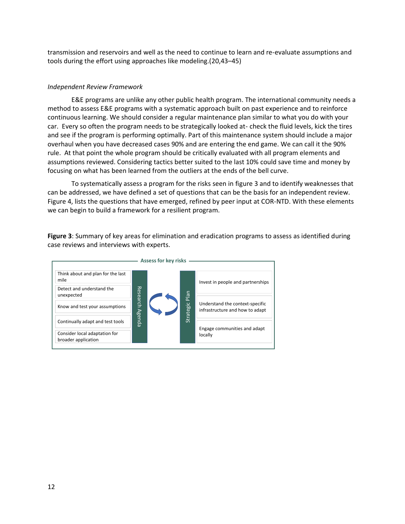transmission and reservoirs and well as the need to continue to learn and re-evaluate assumptions and tools during the effort using approaches like modeling.(20,43–45)

# *Independent Review Framework*

E&E programs are unlike any other public health program. The international community needs a method to assess E&E programs with a systematic approach built on past experience and to reinforce continuous learning. We should consider a regular maintenance plan similar to what you do with your car. Every so often the program needs to be strategically looked at- check the fluid levels, kick the tires and see if the program is performing optimally. Part of this maintenance system should include a major overhaul when you have decreased cases 90% and are entering the end game. We can call it the 90% rule. At that point the whole program should be critically evaluated with all program elements and assumptions reviewed. Considering tactics better suited to the last 10% could save time and money by focusing on what has been learned from the outliers at the ends of the bell curve.

To systematically assess a program for the risks seen in figure 3 and to identify weaknesses that can be addressed, we have defined a set of questions that can be the basis for an independent review. Figure 4, lists the questions that have emerged, refined by peer input at COR-NTD. With these elements we can begin to build a framework for a resilient program.

**Figure 3**: Summary of key areas for elimination and eradication programs to assess as identified during case reviews and interviews with experts.

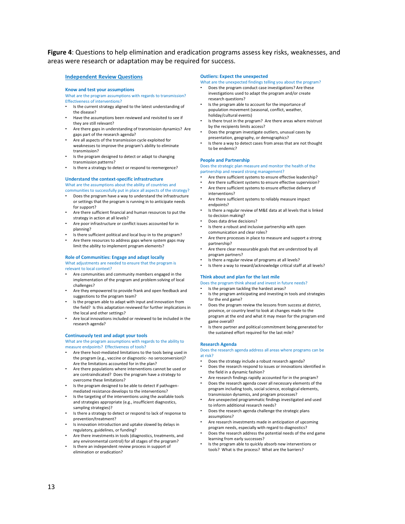**Figure 4**: Questions to help elimination and eradication programs assess key risks, weaknesses, and areas were research or adaptation may be required for success.

•

•

•

•

•

•

•

### **Independent Review Questions**

#### **Know and test your assumptions**

What are the program assumptions with regards to transmission? Effectiveness of interventions?

- Is the current strategy aligned to the latest understanding of the disease?
- Have the assumptions been reviewed and revisited to see if they are still relevant?
- Are there gaps in understanding of transmission dynamics? Are gaps part of the research agenda?
- Are all aspects of the transmission cycle exploited for weaknesses to improve the program'<sup>s</sup> ability to eliminate transmission?
- • Is the program designed to detect or adapt to changing transmission patterns?
- Is there a strategy to detect or respond to reemergence?

### **Understand the context-specific infrastructure** What are the assumptions about the ability of countries and

- communities to successfully put in place all aspects of the strategy? Does the program have a way to understand the infrastructure or settings that the program is running in to anticipate needs for support?
- Are there sufficient financial and human resources to put the strategy in action at all levels?
- • Are poor infrastructure or conflict issues accounted for in planning?
- Is there sufficient political and local buy-in to the program?
- Are there resources to address gaps where system gaps may limit the ability to implement program elements?

### **Role of Communities: Engage and adapt locally**

What adjustments are needed to ensure that the program is relevant to local context?

- • Are communities and community members engaged in the implementation of the program and problem solving of local challenges?
- Are they empowered to provide frank and open feedback and suggestions to the program team?
- Is the program able to adapt with input and innovation from the field? Is this adaptation reviewed for further implications in the local and other settings?
- Are local innovations included or reviewed to be included in the research agenda?

#### **Continuously test and adapt your tools**

What are the program assumptions with regards to the ability to measure endpoints? Effectiveness of tools?

- Are there host-mediated limitations to the tools being used in the program (e.g., vaccine or diagnostic- no seroconversion)? Are the limitations accounted for in the plan?
- Are there populations where interventions cannot be used or are contraindicated? Does the program have a strategy to overcome these limitations?
- Is the program designed to be able to detect if pathogenmediated resistance develops to the interventions?
- Is the targeting of the interventions using the available tools and strategies appropriate (e.g., insufficient diagnostics, sampling strategies)?
- Is there a strategy to detect or respond to lack of response to prevention/treatment?
- Is innovation introduction and uptake slowed by delays in regulatory, guidelines, or funding?
- • Are there investments in tools (diagnostics, treatments, and any environmental control) for all stages of the program?
- Is there an independent review process in support of elimination or eradication?

### **Outliers: Expect the unexpected**

What are the unexpected findings telling you about the program?

- • Does the program conduct case investigations? Are these investigations used to adapt the program and/or create research questions?
- Is the program able to account for the importance of population movement (seasonal, conflict, weather, holiday/cultural events)
- • Is there trust in the program? Are there areas where mistrust by the recipients limits access?
- • Does the program investigate outliers, unusual cases by presentation, geography, or demographics?
- Is there a way to detect cases from areas that are not thought to be endemic?

#### **People and Partnership**

Does the strategic plan measure and monitor the health of the partnership and reward strong management?

- •Are there sufficient systems to ensure effective leadership?
- • Are there sufficient systems to ensure effective supervision? •Are there sufficient systems to ensure effective delivery of
- interventions?
- • Are there sufficient systems to reliably measure impact endpoints?
- • Is there a regular review of M&E data at all levels that is linked to decision making?
- Does data drive decisions?
- • Is there a robust and inclusive partnership with open communication and clear roles?
- Are there processes in place to measure and support <sup>a</sup> strong partnership?
- • Are there clear measurable goals that are understood by all program partners?
- Is there a regular review of programs at all levels?
- Is there a way to reward/acknowledge critical staff at all levels?

### **Think about and plan for the last mile**

Does the program think ahead and invest in future needs?

- •Is the program tackling the hardest areas?
- Is the program anticipating and investing in tools and strategies for the end game?
- • Does the program review the lessons from success at district, province, or country level to look at changes made to the program at the end and what it may mean for the program end game overall?
- Is there partner and political commitment being generated for the sustained effort required for the last mile?

### **Research Agenda**

### Does the research agenda address all areas where programs can be at risk?

- •Does the strategy include a robust research agenda?
- • Does the research respond to issues or innovations identified in the field in <sup>a</sup> dynamic fashion?
	- • Are research findings rapidly accounted for in the program? •Does the research agenda cover all necessary elements of the
- program including tools, social science, ecological elements, transmission dynamics, and program processes?
- • Are unexpected programmatic findings investigated and used to inform additional research needs?
- • Does the research agenda challenge the strategic plans assumptions?
- • Are research investments made in anticipation of upcoming program needs, especially with regard to diagnostics?
- • Does the research address the potential needs of the end game learning from early successes?
- • Is the program able to quickly absorb new interventions or tools? What is the process? What are the barriers?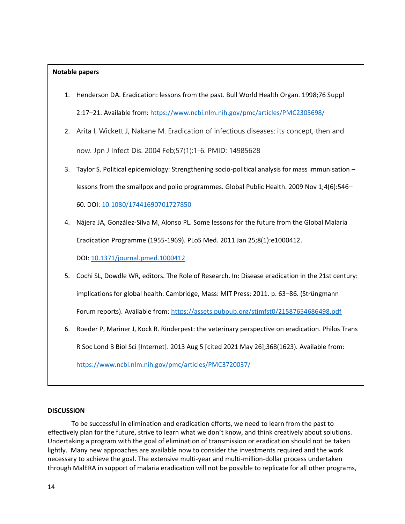# **Notable papers**

- 1. Henderson DA. Eradication: lessons from the past. Bull World Health Organ. 1998;76 Suppl 2:17–21. Available from: https://www.ncbi.nlm.nih.gov/pmc/articles/PMC2305698/
- 2. Arita I, Wickett J, Nakane M. Eradication of infectious diseases: its concept, then and now. Jpn J Infect Dis. 2004 Feb;57(1):1-6. PMID: 14985628
- 3. Taylor S. Political epidemiology: Strengthening socio-political analysis for mass immunisation lessons from the smallpox and polio programmes. Global Public Health. 2009 Nov 1;4(6):546– 60. DOI: 10.1080/17441690701727850
- 4. Nájera JA, González-Silva M, Alonso PL. Some lessons for the future from the Global Malaria Eradication Programme (1955-1969). PLoS Med. 2011 Jan 25;8(1):e1000412. DOI: 10.1371/journal.pmed.1000412
- 5. Cochi SL, Dowdle WR, editors. The Role of Research. In: Disease eradication in the 21st century: implications for global health. Cambridge, Mass: MIT Press; 2011. p. 63–86. (Strüngmann Forum reports). Available from: https://assets.pubpub.org/stjmfst0/21587654686498.pdf
- 6. Roeder P, Mariner J, Kock R. Rinderpest: the veterinary perspective on eradication. Philos Trans R Soc Lond B Biol Sci [Internet]. 2013 Aug 5 [cited 2021 May 26];368(1623). Available from: https://www.ncbi.nlm.nih.gov/pmc/articles/PMC3720037/

### **DISCUSSION**

To be successful in elimination and eradication efforts, we need to learn from the past to effectively plan for the future, strive to learn what we don't know, and think creatively about solutions. Undertaking a program with the goal of elimination of transmission or eradication should not be taken lightly. Many new approaches are available now to consider the investments required and the work necessary to achieve the goal. The extensive multi-year and multi-million-dollar process undertaken through MalERA in support of malaria eradication will not be possible to replicate for all other programs,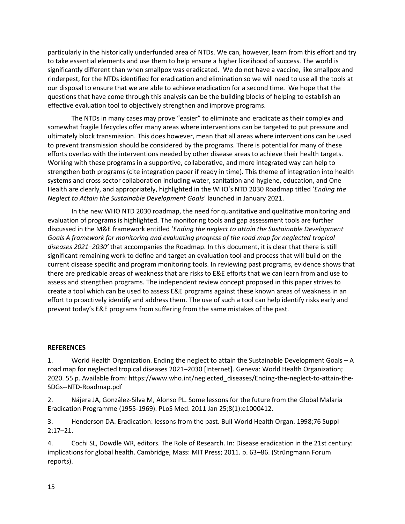particularly in the historically underfunded area of NTDs. We can, however, learn from this effort and try to take essential elements and use them to help ensure a higher likelihood of success. The world is significantly different than when smallpox was eradicated. We do not have a vaccine, like smallpox and rinderpest, for the NTDs identified for eradication and elimination so we will need to use all the tools at our disposal to ensure that we are able to achieve eradication for a second time. We hope that the questions that have come through this analysis can be the building blocks of helping to establish an effective evaluation tool to objectively strengthen and improve programs.

The NTDs in many cases may prove "easier" to eliminate and eradicate as their complex and somewhat fragile lifecycles offer many areas where interventions can be targeted to put pressure and ultimately block transmission. This does however, mean that all areas where interventions can be used to prevent transmission should be considered by the programs. There is potential for many of these efforts overlap with the interventions needed by other disease areas to achieve their health targets. Working with these programs in a supportive, collaborative, and more integrated way can help to strengthen both programs (cite integration paper if ready in time). This theme of integration into health systems and cross sector collaboration including water, sanitation and hygiene, education, and One Health are clearly, and appropriately, highlighted in the WHO's NTD 2030 Roadmap titled '*Ending the Neglect to Attain the Sustainable Development Goals*' launched in January 2021.

In the new WHO NTD 2030 roadmap, the need for quantitative and qualitative monitoring and evaluation of programs is highlighted. The monitoring tools and gap assessment tools are further discussed in the M&E framework entitled '*Ending the neglect to attain the Sustainable Development Goals A framework for monitoring and evaluating progress of the road map for neglected tropical diseases 2021−2030'* that accompanies the Roadmap. In this document, it is clear that there is still significant remaining work to define and target an evaluation tool and process that will build on the current disease specific and program monitoring tools. In reviewing past programs, evidence shows that there are predicable areas of weakness that are risks to E&E efforts that we can learn from and use to assess and strengthen programs. The independent review concept proposed in this paper strives to create a tool which can be used to assess E&E programs against these known areas of weakness in an effort to proactively identify and address them. The use of such a tool can help identify risks early and prevent today's E&E programs from suffering from the same mistakes of the past.

# **REFERENCES**

1. World Health Organization. Ending the neglect to attain the Sustainable Development Goals – A road map for neglected tropical diseases 2021–2030 [Internet]. Geneva: World Health Organization; 2020. 55 p. Available from: https://www.who.int/neglected\_diseases/Ending-the-neglect-to-attain-the-SDGs--NTD-Roadmap.pdf

2. Nájera JA, González-Silva M, Alonso PL. Some lessons for the future from the Global Malaria Eradication Programme (1955-1969). PLoS Med. 2011 Jan 25;8(1):e1000412.

3. Henderson DA. Eradication: lessons from the past. Bull World Health Organ. 1998;76 Suppl 2:17–21.

4. Cochi SL, Dowdle WR, editors. The Role of Research. In: Disease eradication in the 21st century: implications for global health. Cambridge, Mass: MIT Press; 2011. p. 63–86. (Strüngmann Forum reports).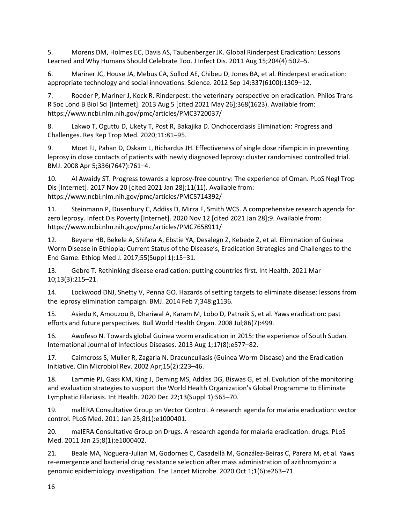5. Morens DM, Holmes EC, Davis AS, Taubenberger JK. Global Rinderpest Eradication: Lessons Learned and Why Humans Should Celebrate Too. J Infect Dis. 2011 Aug 15;204(4):502–5.

6. Mariner JC, House JA, Mebus CA, Sollod AE, Chibeu D, Jones BA, et al. Rinderpest eradication: appropriate technology and social innovations. Science. 2012 Sep 14;337(6100):1309–12.

7. Roeder P, Mariner J, Kock R. Rinderpest: the veterinary perspective on eradication. Philos Trans R Soc Lond B Biol Sci [Internet]. 2013 Aug 5 [cited 2021 May 26];368(1623). Available from: https://www.ncbi.nlm.nih.gov/pmc/articles/PMC3720037/

8. Lakwo T, Oguttu D, Ukety T, Post R, Bakajika D. Onchocerciasis Elimination: Progress and Challenges. Res Rep Trop Med. 2020;11:81–95.

9. Moet FJ, Pahan D, Oskam L, Richardus JH. Effectiveness of single dose rifampicin in preventing leprosy in close contacts of patients with newly diagnosed leprosy: cluster randomised controlled trial. BMJ. 2008 Apr 5;336(7647):761–4.

10. Al Awaidy ST. Progress towards a leprosy-free country: The experience of Oman. PLoS Negl Trop Dis [Internet]. 2017 Nov 20 [cited 2021 Jan 28];11(11). Available from: https://www.ncbi.nlm.nih.gov/pmc/articles/PMC5714392/

11. Steinmann P, Dusenbury C, Addiss D, Mirza F, Smith WCS. A comprehensive research agenda for zero leprosy. Infect Dis Poverty [Internet]. 2020 Nov 12 [cited 2021 Jan 28];9. Available from: https://www.ncbi.nlm.nih.gov/pmc/articles/PMC7658911/

12. Beyene HB, Bekele A, Shifara A, Ebstie YA, Desalegn Z, Kebede Z, et al. Elimination of Guinea Worm Disease in Ethiopia; Current Status of the Disease's, Eradication Strategies and Challenges to the End Game. Ethiop Med J. 2017;55(Suppl 1):15–31.

13. Gebre T. Rethinking disease eradication: putting countries first. Int Health. 2021 Mar 10;13(3):215–21.

14. Lockwood DNJ, Shetty V, Penna GO. Hazards of setting targets to eliminate disease: lessons from the leprosy elimination campaign. BMJ. 2014 Feb 7;348:g1136.

15. Asiedu K, Amouzou B, Dhariwal A, Karam M, Lobo D, Patnaik S, et al. Yaws eradication: past efforts and future perspectives. Bull World Health Organ. 2008 Jul;86(7):499.

16. Awofeso N. Towards global Guinea worm eradication in 2015: the experience of South Sudan. International Journal of Infectious Diseases. 2013 Aug 1;17(8):e577–82.

17. Cairncross S, Muller R, Zagaria N. Dracunculiasis (Guinea Worm Disease) and the Eradication Initiative. Clin Microbiol Rev. 2002 Apr;15(2):223–46.

18. Lammie PJ, Gass KM, King J, Deming MS, Addiss DG, Biswas G, et al. Evolution of the monitoring and evaluation strategies to support the World Health Organization's Global Programme to Eliminate Lymphatic Filariasis. Int Health. 2020 Dec 22;13(Suppl 1):S65–70.

19. malERA Consultative Group on Vector Control. A research agenda for malaria eradication: vector control. PLoS Med. 2011 Jan 25;8(1):e1000401.

20. malERA Consultative Group on Drugs. A research agenda for malaria eradication: drugs. PLoS Med. 2011 Jan 25;8(1):e1000402.

21. Beale MA, Noguera-Julian M, Godornes C, Casadellà M, González-Beiras C, Parera M, et al. Yaws re-emergence and bacterial drug resistance selection after mass administration of azithromycin: a genomic epidemiology investigation. The Lancet Microbe. 2020 Oct 1;1(6):e263–71.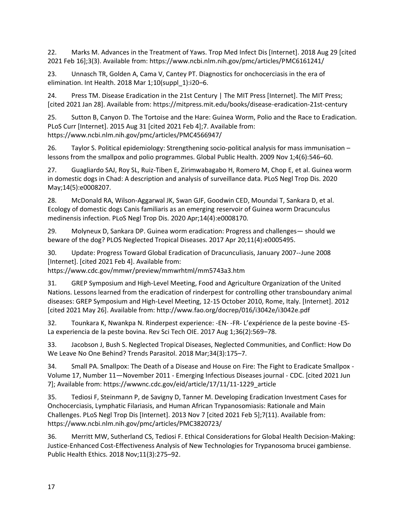22. Marks M. Advances in the Treatment of Yaws. Trop Med Infect Dis [Internet]. 2018 Aug 29 [cited 2021 Feb 16];3(3). Available from: https://www.ncbi.nlm.nih.gov/pmc/articles/PMC6161241/

23. Unnasch TR, Golden A, Cama V, Cantey PT. Diagnostics for onchocerciasis in the era of elimination. Int Health. 2018 Mar 1;10(suppl\_1):i20–6.

24. Press TM. Disease Eradication in the 21st Century | The MIT Press [Internet]. The MIT Press; [cited 2021 Jan 28]. Available from: https://mitpress.mit.edu/books/disease-eradication-21st-century

25. Sutton B, Canyon D. The Tortoise and the Hare: Guinea Worm, Polio and the Race to Eradication. PLoS Curr [Internet]. 2015 Aug 31 [cited 2021 Feb 4];7. Available from: https://www.ncbi.nlm.nih.gov/pmc/articles/PMC4566947/

26. Taylor S. Political epidemiology: Strengthening socio-political analysis for mass immunisation – lessons from the smallpox and polio programmes. Global Public Health. 2009 Nov 1;4(6):546–60.

27. Guagliardo SAJ, Roy SL, Ruiz-Tiben E, Zirimwabagabo H, Romero M, Chop E, et al. Guinea worm in domestic dogs in Chad: A description and analysis of surveillance data. PLoS Negl Trop Dis. 2020 May;14(5):e0008207.

28. McDonald RA, Wilson-Aggarwal JK, Swan GJF, Goodwin CED, Moundai T, Sankara D, et al. Ecology of domestic dogs Canis familiaris as an emerging reservoir of Guinea worm Dracunculus medinensis infection. PLoS Negl Trop Dis. 2020 Apr;14(4):e0008170.

29. Molyneux D, Sankara DP. Guinea worm eradication: Progress and challenges— should we beware of the dog? PLOS Neglected Tropical Diseases. 2017 Apr 20;11(4):e0005495.

30. Update: Progress Toward Global Eradication of Dracunculiasis, January 2007--June 2008 [Internet]. [cited 2021 Feb 4]. Available from:

https://www.cdc.gov/mmwr/preview/mmwrhtml/mm5743a3.htm

31. GREP Symposium and High-Level Meeting, Food and Agriculture Organization of the United Nations. Lessons learned from the eradication of rinderpest for controlling other transboundary animal diseases: GREP Symposium and High-Level Meeting, 12-15 October 2010, Rome, Italy. [Internet]. 2012 [cited 2021 May 26]. Available from: http://www.fao.org/docrep/016/i3042e/i3042e.pdf

32. Tounkara K, Nwankpa N. Rinderpest experience: -EN- -FR- L'expérience de la peste bovine -ES-La experiencia de la peste bovina. Rev Sci Tech OIE. 2017 Aug 1;36(2):569–78.

33. Jacobson J, Bush S. Neglected Tropical Diseases, Neglected Communities, and Conflict: How Do We Leave No One Behind? Trends Parasitol. 2018 Mar;34(3):175–7.

34. Small PA. Smallpox: The Death of a Disease and House on Fire: The Fight to Eradicate Smallpox - Volume 17, Number 11—November 2011 - Emerging Infectious Diseases journal - CDC. [cited 2021 Jun 7]; Available from: https://wwwnc.cdc.gov/eid/article/17/11/11-1229\_article

35. Tediosi F, Steinmann P, de Savigny D, Tanner M. Developing Eradication Investment Cases for Onchocerciasis, Lymphatic Filariasis, and Human African Trypanosomiasis: Rationale and Main Challenges. PLoS Negl Trop Dis [Internet]. 2013 Nov 7 [cited 2021 Feb 5];7(11). Available from: https://www.ncbi.nlm.nih.gov/pmc/articles/PMC3820723/

36. Merritt MW, Sutherland CS, Tediosi F. Ethical Considerations for Global Health Decision-Making: Justice-Enhanced Cost-Effectiveness Analysis of New Technologies for Trypanosoma brucei gambiense. Public Health Ethics. 2018 Nov;11(3):275–92.